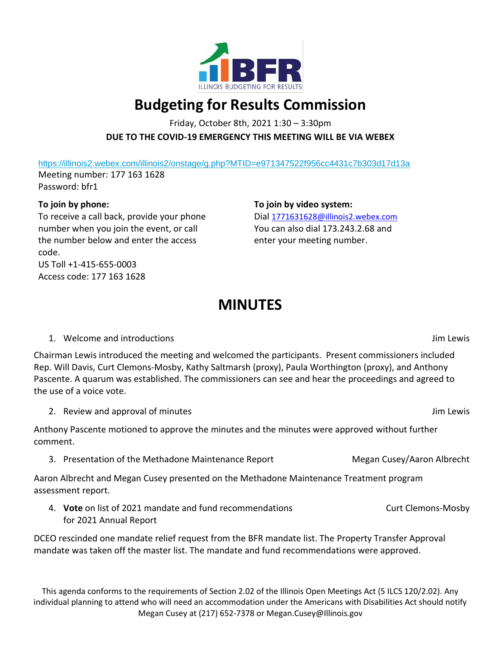

## **Budgeting for Results Commission**

Friday, October 8th, 2021 1:30 – 3:30pm **DUE TO THE COVID-19 EMERGENCY THIS MEETING WILL BE VIA WEBEX**

<https://illinois2.webex.com/illinois2/onstage/g.php?MTID=e971347522f956cc4431c7b303d17d13a>

Meeting number: 177 163 1628 Password: bfr1

## **To join by phone:**

To receive a call back, provide your phone number when you join the event, or call the number below and enter the access code. US Toll +1-415-655-0003 Access code: 177 163 1628

**To join by video system:** Dial [1771631628@illinois2.webex.com](mailto:1771631628@illinois2.webex.com) You can also dial 173.243.2.68 and enter your meeting number.

## **MINUTES**

1. Welcome and introductions Jim Lewis

Chairman Lewis introduced the meeting and welcomed the participants. Present commissioners included Rep. Will Davis, Curt Clemons-Mosby, Kathy Saltmarsh (proxy), Paula Worthington (proxy), and Anthony Pascente. A quarum was established. The commissioners can see and hear the proceedings and agreed to the use of a voice vote.

2. Review and approval of minutes and  $\overline{a}$  and  $\overline{b}$  and  $\overline{b}$  and  $\overline{b}$  and  $\overline{b}$  and  $\overline{b}$  and  $\overline{b}$  and  $\overline{b}$  and  $\overline{b}$  and  $\overline{b}$  and  $\overline{b}$  and  $\overline{b}$  and  $\overline{b}$  and  $\overline{b}$  and  $\$ 

Anthony Pascente motioned to approve the minutes and the minutes were approved without further comment.

3. Presentation of the Methadone Maintenance Report Megan Cusey/Aaron Albrecht

Aaron Albrecht and Megan Cusey presented on the Methadone Maintenance Treatment program assessment report.

4. **Vote** on list of 2021 mandate and fund recommendations for 2021 Annual Report Curt Clemons-Mosby

DCEO rescinded one mandate relief request from the BFR mandate list. The Property Transfer Approval mandate was taken off the master list. The mandate and fund recommendations were approved.